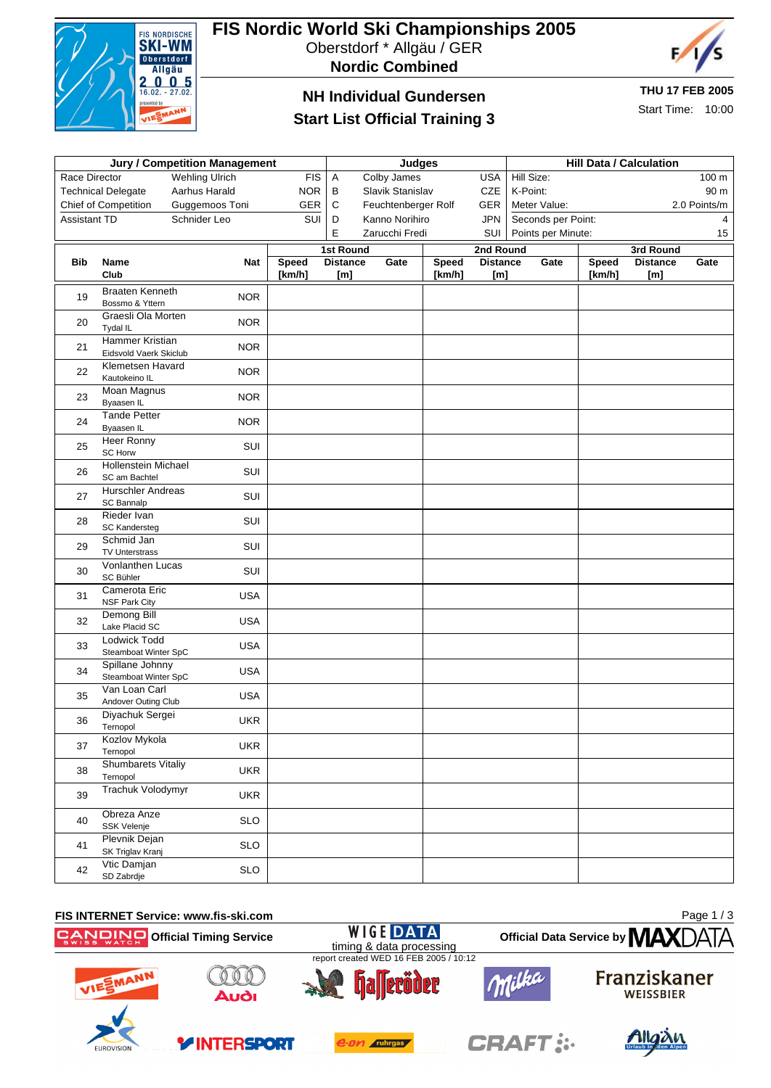

# **FIS Nordic World Ski Championships 2005**

Oberstdorf \* Allgäu / GER





### **NH Individual Gundersen**

#### **Start List Official Training 3**

**THU 17 FEB 2005**

Start Time: 10:00

| <b>Jury / Competition Management</b>                 |                                           |                |            |                                                 |                     |              |                              |                                    | <b>Hill Data / Calculation</b> |        |                              |              |  |
|------------------------------------------------------|-------------------------------------------|----------------|------------|-------------------------------------------------|---------------------|--------------|------------------------------|------------------------------------|--------------------------------|--------|------------------------------|--------------|--|
| <b>FIS</b><br>Race Director<br><b>Wehling Ulrich</b> |                                           |                |            | <b>Judges</b><br>Colby James<br><b>USA</b><br>A |                     |              |                              | Hill Size:<br>100 m                |                                |        |                              |              |  |
|                                                      | <b>Technical Delegate</b>                 | Aarhus Harald  | <b>NOR</b> | в                                               | Slavik Stanislav    |              | <b>CZE</b>                   | K-Point:                           |                                |        |                              | 90 m         |  |
|                                                      |                                           | Guggemoos Toni | GER        | $\mathsf C$                                     | Feuchtenberger Rolf |              | GER                          |                                    |                                |        |                              | 2.0 Points/m |  |
| Chief of Competition<br>Schnider Leo<br>Assistant TD |                                           | SUI            | D          | Kanno Norihiro                                  |                     | <b>JPN</b>   |                              | Meter Value:<br>Seconds per Point: |                                |        | $\overline{4}$               |              |  |
|                                                      |                                           |                |            | E                                               | Zarucchi Fredi      |              | SUI                          |                                    | Points per Minute:             |        |                              | 15           |  |
|                                                      |                                           |                |            |                                                 |                     |              |                              |                                    |                                |        |                              |              |  |
| <b>Bib</b>                                           | Name                                      | Nat            | Speed      | <b>1st Round</b><br><b>Distance</b>             | Gate                | <b>Speed</b> | 2nd Round<br><b>Distance</b> |                                    | Gate                           | Speed  | 3rd Round<br><b>Distance</b> | Gate         |  |
|                                                      | Club                                      |                | [km/h]     | [m]                                             |                     | [km/h]       | [m]                          |                                    |                                | [km/h] | [m]                          |              |  |
|                                                      | <b>Braaten Kenneth</b>                    |                |            |                                                 |                     |              |                              |                                    |                                |        |                              |              |  |
| 19                                                   | Bossmo & Yttern                           | <b>NOR</b>     |            |                                                 |                     |              |                              |                                    |                                |        |                              |              |  |
| 20                                                   | Graesli Ola Morten<br>Tydal IL            | <b>NOR</b>     |            |                                                 |                     |              |                              |                                    |                                |        |                              |              |  |
| 21                                                   | Hammer Kristian<br>Eidsvold Vaerk Skiclub | <b>NOR</b>     |            |                                                 |                     |              |                              |                                    |                                |        |                              |              |  |
| 22                                                   | Klemetsen Havard<br>Kautokeino IL         | <b>NOR</b>     |            |                                                 |                     |              |                              |                                    |                                |        |                              |              |  |
| 23                                                   | <b>Moan Magnus</b><br>Byaasen IL          | <b>NOR</b>     |            |                                                 |                     |              |                              |                                    |                                |        |                              |              |  |
| 24                                                   | <b>Tande Petter</b><br><b>B</b> vaasen IL | <b>NOR</b>     |            |                                                 |                     |              |                              |                                    |                                |        |                              |              |  |
| 25                                                   | Heer Ronny<br>SC Horw                     | SUI            |            |                                                 |                     |              |                              |                                    |                                |        |                              |              |  |
| 26                                                   | Hollenstein Michael<br>SC am Bachtel      | SUI            |            |                                                 |                     |              |                              |                                    |                                |        |                              |              |  |
| 27                                                   | <b>Hurschler Andreas</b><br>SC Bannalp    | SUI            |            |                                                 |                     |              |                              |                                    |                                |        |                              |              |  |
| 28                                                   | Rieder Ivan<br><b>SC Kandersteg</b>       | SUI            |            |                                                 |                     |              |                              |                                    |                                |        |                              |              |  |
| 29                                                   | Schmid Jan<br><b>TV Unterstrass</b>       | SUI            |            |                                                 |                     |              |                              |                                    |                                |        |                              |              |  |
| 30                                                   | Vonlanthen Lucas<br>SC Bühler             | SUI            |            |                                                 |                     |              |                              |                                    |                                |        |                              |              |  |
| 31                                                   | Camerota Eric<br><b>NSF Park City</b>     | <b>USA</b>     |            |                                                 |                     |              |                              |                                    |                                |        |                              |              |  |
| 32                                                   | Demong Bill<br>Lake Placid SC             | <b>USA</b>     |            |                                                 |                     |              |                              |                                    |                                |        |                              |              |  |
| 33                                                   | Lodwick Todd<br>Steamboat Winter SpC      | <b>USA</b>     |            |                                                 |                     |              |                              |                                    |                                |        |                              |              |  |
| 34                                                   | Spillane Johnny<br>Steamboat Winter SpC   | <b>USA</b>     |            |                                                 |                     |              |                              |                                    |                                |        |                              |              |  |
| 35                                                   | Van Loan Carl<br>Andover Outing Club      | <b>USA</b>     |            |                                                 |                     |              |                              |                                    |                                |        |                              |              |  |
| 36                                                   | Diyachuk Sergei<br>Ternopol               | UKR            |            |                                                 |                     |              |                              |                                    |                                |        |                              |              |  |
| 37                                                   | Kozlov Mykola<br>Ternopol                 | <b>UKR</b>     |            |                                                 |                     |              |                              |                                    |                                |        |                              |              |  |
| 38                                                   | <b>Shumbarets Vitaliy</b><br>Ternopol     | <b>UKR</b>     |            |                                                 |                     |              |                              |                                    |                                |        |                              |              |  |
| 39                                                   | Trachuk Volodymyr                         | <b>UKR</b>     |            |                                                 |                     |              |                              |                                    |                                |        |                              |              |  |
| 40                                                   | Obreza Anze<br>SSK Velenje                | <b>SLO</b>     |            |                                                 |                     |              |                              |                                    |                                |        |                              |              |  |
| 41                                                   | Plevnik Dejan<br>SK Triglav Kranj         | <b>SLO</b>     |            |                                                 |                     |              |                              |                                    |                                |        |                              |              |  |
| 42                                                   | Vtic Damjan<br>SD Zabrdje                 | <b>SLO</b>     |            |                                                 |                     |              |                              |                                    |                                |        |                              |              |  |

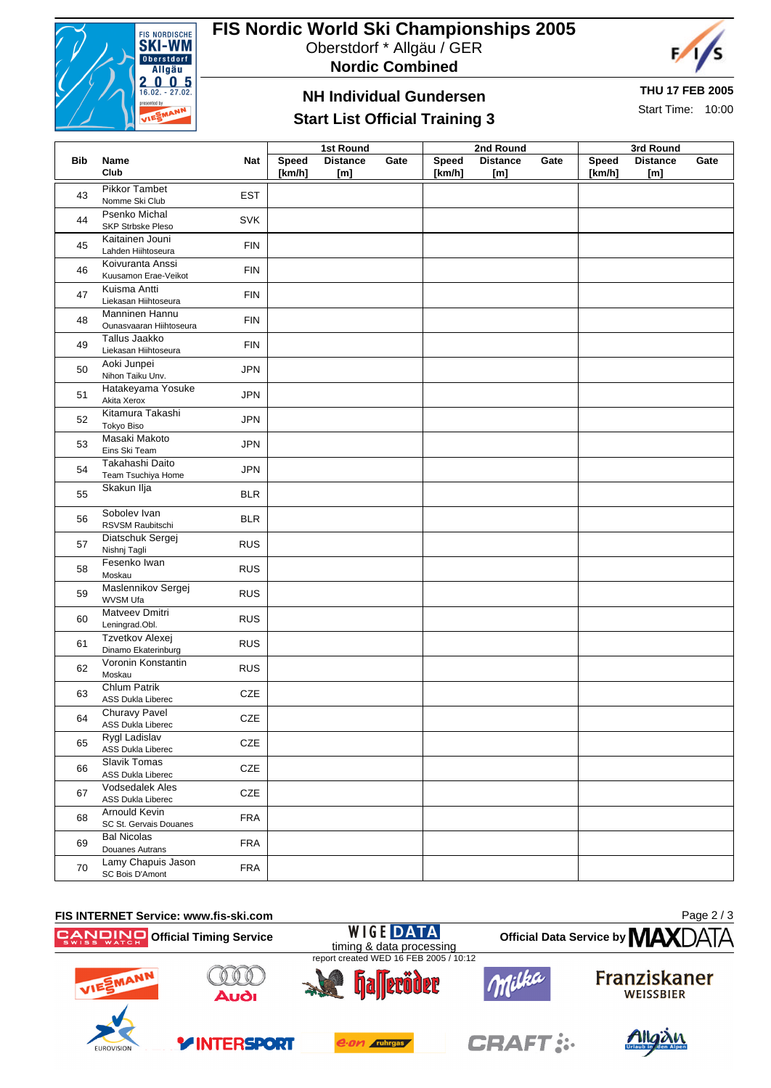

# **FIS Nordic World Ski Championships 2005**

Oberstdorf \* Allgäu / GER

**Nordic Combined**



#### **THU 17 FEB 2005**

Start Time: 10:00

## **NH Individual Gundersen Start List Official Training 3**

|     |                          |            | <b>1st Round</b> |                 |      |        | 2nd Round       |      | 3rd Round |                 |      |
|-----|--------------------------|------------|------------------|-----------------|------|--------|-----------------|------|-----------|-----------------|------|
| Bib | Name                     | <b>Nat</b> | Speed            | <b>Distance</b> | Gate | Speed  | <b>Distance</b> | Gate | Speed     | <b>Distance</b> | Gate |
|     | Club                     |            | [km/h]           | [m]             |      | [km/h] | [m]             |      | [km/h]    | [m]             |      |
| 43  | Pikkor Tambet            | <b>EST</b> |                  |                 |      |        |                 |      |           |                 |      |
|     | Nomme Ski Club           |            |                  |                 |      |        |                 |      |           |                 |      |
| 44  | Psenko Michal            | <b>SVK</b> |                  |                 |      |        |                 |      |           |                 |      |
|     | <b>SKP Strbske Pleso</b> |            |                  |                 |      |        |                 |      |           |                 |      |
| 45  | Kaitainen Jouni          | <b>FIN</b> |                  |                 |      |        |                 |      |           |                 |      |
|     | Lahden Hiihtoseura       |            |                  |                 |      |        |                 |      |           |                 |      |
| 46  | Koivuranta Anssi         | <b>FIN</b> |                  |                 |      |        |                 |      |           |                 |      |
|     | Kuusamon Erae-Veikot     |            |                  |                 |      |        |                 |      |           |                 |      |
| 47  | Kuisma Antti             | <b>FIN</b> |                  |                 |      |        |                 |      |           |                 |      |
|     | Liekasan Hiihtoseura     |            |                  |                 |      |        |                 |      |           |                 |      |
| 48  | Manninen Hannu           | <b>FIN</b> |                  |                 |      |        |                 |      |           |                 |      |
|     | Ounasvaaran Hiihtoseura  |            |                  |                 |      |        |                 |      |           |                 |      |
| 49  | Tallus Jaakko            | <b>FIN</b> |                  |                 |      |        |                 |      |           |                 |      |
|     | Liekasan Hiihtoseura     |            |                  |                 |      |        |                 |      |           |                 |      |
| 50  | Aoki Junpei              | <b>JPN</b> |                  |                 |      |        |                 |      |           |                 |      |
|     | Nihon Taiku Unv.         |            |                  |                 |      |        |                 |      |           |                 |      |
| 51  | Hatakeyama Yosuke        | <b>JPN</b> |                  |                 |      |        |                 |      |           |                 |      |
|     | Akita Xerox              |            |                  |                 |      |        |                 |      |           |                 |      |
|     | Kitamura Takashi         | <b>JPN</b> |                  |                 |      |        |                 |      |           |                 |      |
| 52  | <b>Tokyo Biso</b>        |            |                  |                 |      |        |                 |      |           |                 |      |
| 53  | Masaki Makoto            | <b>JPN</b> |                  |                 |      |        |                 |      |           |                 |      |
|     | Eins Ski Team            |            |                  |                 |      |        |                 |      |           |                 |      |

|    | EINS ON TEAM                                                  |  |  |
|----|---------------------------------------------------------------|--|--|
| 54 | Takahashi Daito<br><b>JPN</b><br>Team Tsuchiya Home           |  |  |
| 55 | Skakun Ilja<br><b>BLR</b>                                     |  |  |
| 56 | Sobolev Ivan<br><b>BLR</b><br>RSVSM Raubitschi                |  |  |
| 57 | Diatschuk Sergej<br><b>RUS</b><br>Nishnj Tagli                |  |  |
| 58 | Fesenko Iwan<br><b>RUS</b><br>Moskau                          |  |  |
| 59 | Maslennikov Sergej<br><b>RUS</b><br>WVSM Ufa                  |  |  |
| 60 | <b>Matveev Dmitri</b><br><b>RUS</b><br>Leningrad.Obl.         |  |  |
| 61 | Tzvetkov Alexej<br><b>RUS</b><br>Dinamo Ekaterinburg          |  |  |
| 62 | Voronin Konstantin<br><b>RUS</b><br>Moskau                    |  |  |
| 63 | Chlum Patrik<br><b>CZE</b><br>ASS Dukla Liberec               |  |  |
| 64 | Churavy Pavel<br><b>CZE</b><br><b>ASS Dukla Liberec</b>       |  |  |
| 65 | Rygl Ladislav<br><b>CZE</b><br>ASS Dukla Liberec              |  |  |
| 66 | <b>Slavik Tomas</b><br><b>CZE</b><br><b>ASS Dukla Liberec</b> |  |  |
| 67 | <b>Vodsedalek Ales</b><br>CZE<br>ASS Dukla Liberec            |  |  |
| 68 | Arnould Kevin<br><b>FRA</b><br>SC St. Gervais Douanes         |  |  |
| 69 | <b>Bal Nicolas</b><br><b>FRA</b><br>Douanes Autrans           |  |  |
| 70 | Lamy Chapuis Jason<br><b>FRA</b><br>SC Bois D'Amont           |  |  |
|    |                                                               |  |  |